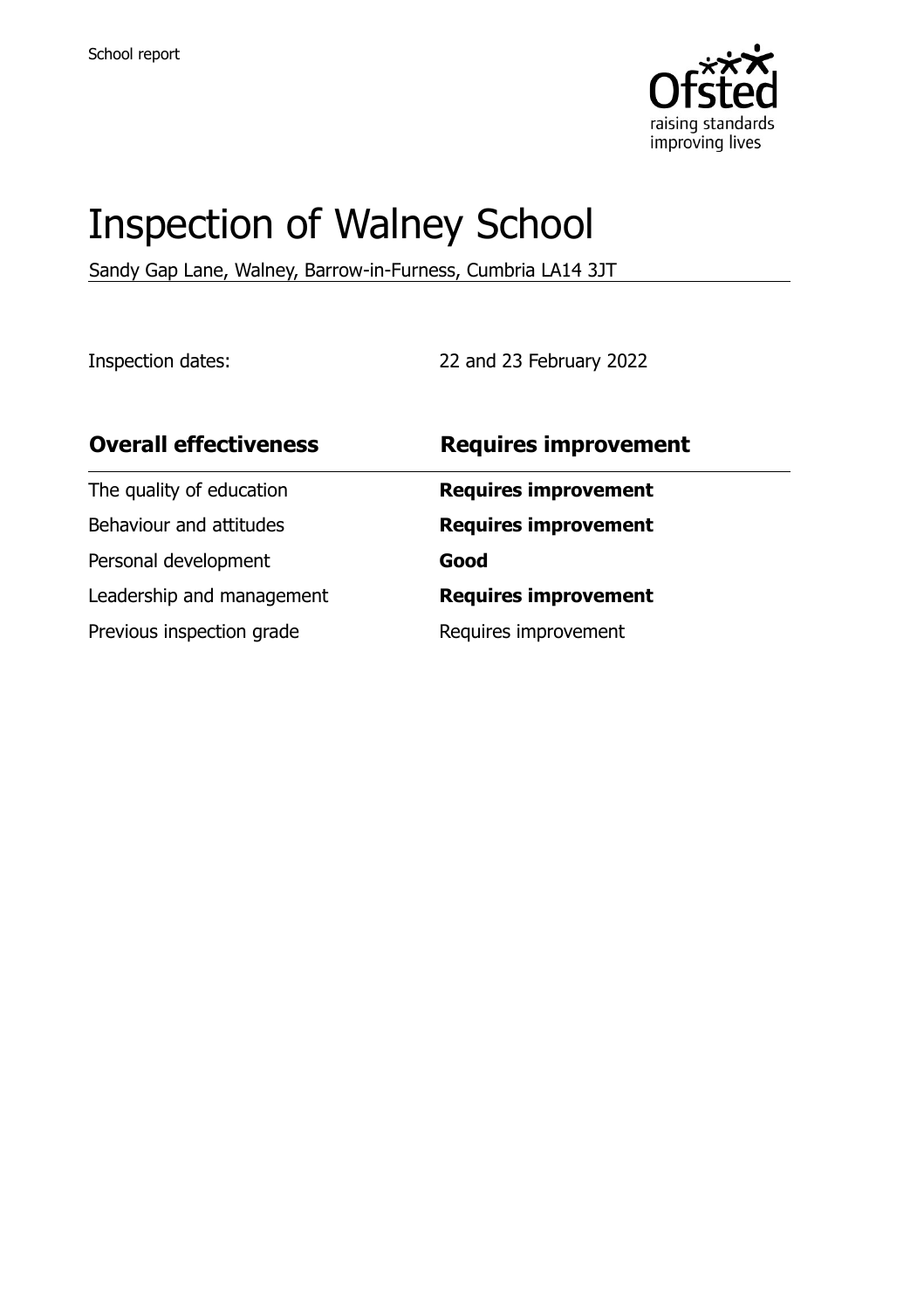

# Inspection of Walney School

Sandy Gap Lane, Walney, Barrow-in-Furness, Cumbria LA14 3JT

Inspection dates: 22 and 23 February 2022

| <b>Overall effectiveness</b> | <b>Requires improvement</b> |
|------------------------------|-----------------------------|
| The quality of education     | <b>Requires improvement</b> |
| Behaviour and attitudes      | <b>Requires improvement</b> |
| Personal development         | Good                        |
| Leadership and management    | <b>Requires improvement</b> |
| Previous inspection grade    | Requires improvement        |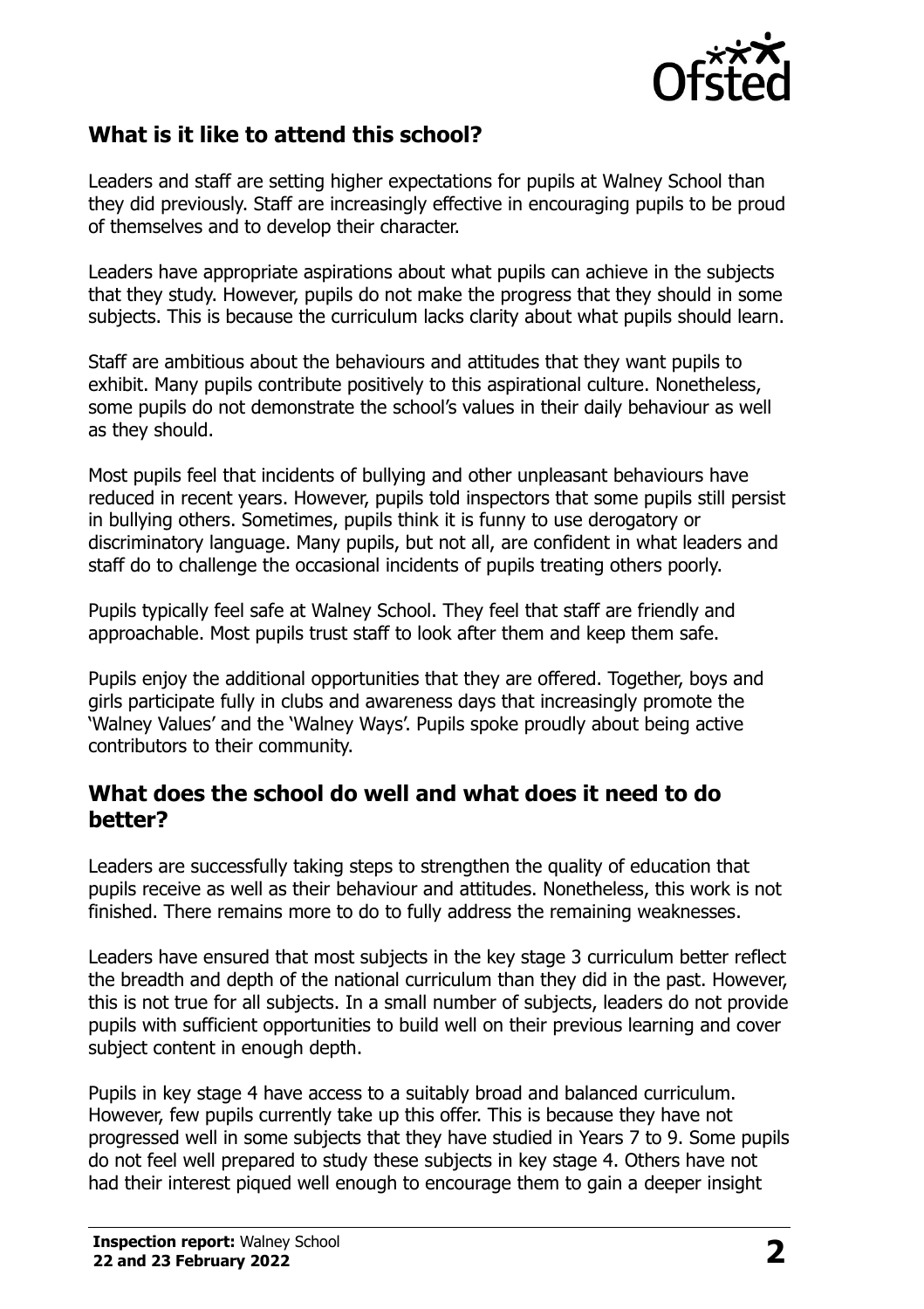

## **What is it like to attend this school?**

Leaders and staff are setting higher expectations for pupils at Walney School than they did previously. Staff are increasingly effective in encouraging pupils to be proud of themselves and to develop their character.

Leaders have appropriate aspirations about what pupils can achieve in the subjects that they study. However, pupils do not make the progress that they should in some subjects. This is because the curriculum lacks clarity about what pupils should learn.

Staff are ambitious about the behaviours and attitudes that they want pupils to exhibit. Many pupils contribute positively to this aspirational culture. Nonetheless, some pupils do not demonstrate the school's values in their daily behaviour as well as they should.

Most pupils feel that incidents of bullying and other unpleasant behaviours have reduced in recent years. However, pupils told inspectors that some pupils still persist in bullying others. Sometimes, pupils think it is funny to use derogatory or discriminatory language. Many pupils, but not all, are confident in what leaders and staff do to challenge the occasional incidents of pupils treating others poorly.

Pupils typically feel safe at Walney School. They feel that staff are friendly and approachable. Most pupils trust staff to look after them and keep them safe.

Pupils enjoy the additional opportunities that they are offered. Together, boys and girls participate fully in clubs and awareness days that increasingly promote the 'Walney Values' and the 'Walney Ways'. Pupils spoke proudly about being active contributors to their community.

#### **What does the school do well and what does it need to do better?**

Leaders are successfully taking steps to strengthen the quality of education that pupils receive as well as their behaviour and attitudes. Nonetheless, this work is not finished. There remains more to do to fully address the remaining weaknesses.

Leaders have ensured that most subjects in the key stage 3 curriculum better reflect the breadth and depth of the national curriculum than they did in the past. However, this is not true for all subjects. In a small number of subjects, leaders do not provide pupils with sufficient opportunities to build well on their previous learning and cover subject content in enough depth.

Pupils in key stage 4 have access to a suitably broad and balanced curriculum. However, few pupils currently take up this offer. This is because they have not progressed well in some subjects that they have studied in Years 7 to 9. Some pupils do not feel well prepared to study these subjects in key stage 4. Others have not had their interest piqued well enough to encourage them to gain a deeper insight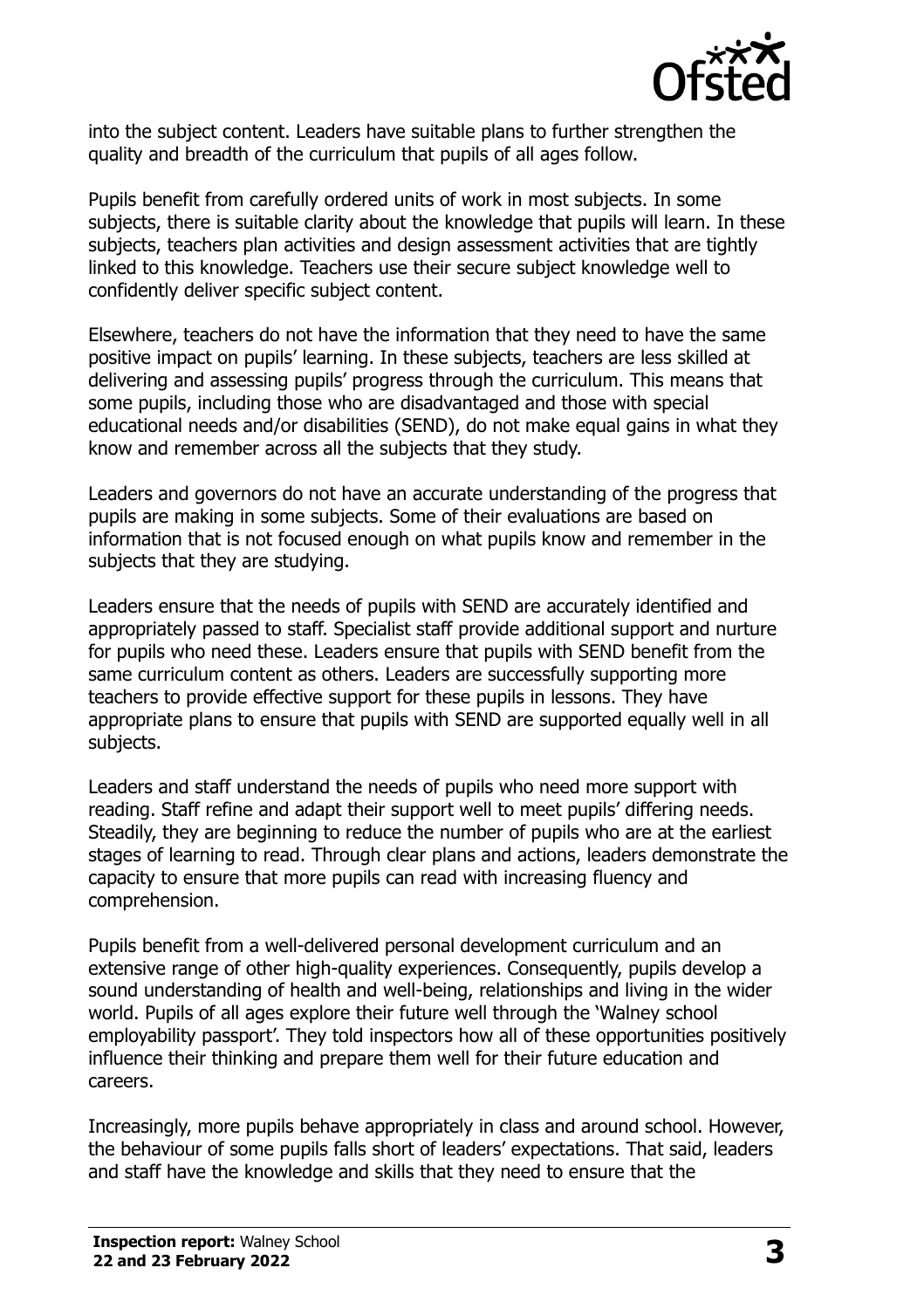

into the subject content. Leaders have suitable plans to further strengthen the quality and breadth of the curriculum that pupils of all ages follow.

Pupils benefit from carefully ordered units of work in most subjects. In some subjects, there is suitable clarity about the knowledge that pupils will learn. In these subjects, teachers plan activities and design assessment activities that are tightly linked to this knowledge. Teachers use their secure subject knowledge well to confidently deliver specific subject content.

Elsewhere, teachers do not have the information that they need to have the same positive impact on pupils' learning. In these subjects, teachers are less skilled at delivering and assessing pupils' progress through the curriculum. This means that some pupils, including those who are disadvantaged and those with special educational needs and/or disabilities (SEND), do not make equal gains in what they know and remember across all the subjects that they study.

Leaders and governors do not have an accurate understanding of the progress that pupils are making in some subjects. Some of their evaluations are based on information that is not focused enough on what pupils know and remember in the subjects that they are studying.

Leaders ensure that the needs of pupils with SEND are accurately identified and appropriately passed to staff. Specialist staff provide additional support and nurture for pupils who need these. Leaders ensure that pupils with SEND benefit from the same curriculum content as others. Leaders are successfully supporting more teachers to provide effective support for these pupils in lessons. They have appropriate plans to ensure that pupils with SEND are supported equally well in all subjects.

Leaders and staff understand the needs of pupils who need more support with reading. Staff refine and adapt their support well to meet pupils' differing needs. Steadily, they are beginning to reduce the number of pupils who are at the earliest stages of learning to read. Through clear plans and actions, leaders demonstrate the capacity to ensure that more pupils can read with increasing fluency and comprehension.

Pupils benefit from a well-delivered personal development curriculum and an extensive range of other high-quality experiences. Consequently, pupils develop a sound understanding of health and well-being, relationships and living in the wider world. Pupils of all ages explore their future well through the 'Walney school employability passport'. They told inspectors how all of these opportunities positively influence their thinking and prepare them well for their future education and careers.

Increasingly, more pupils behave appropriately in class and around school. However, the behaviour of some pupils falls short of leaders' expectations. That said, leaders and staff have the knowledge and skills that they need to ensure that the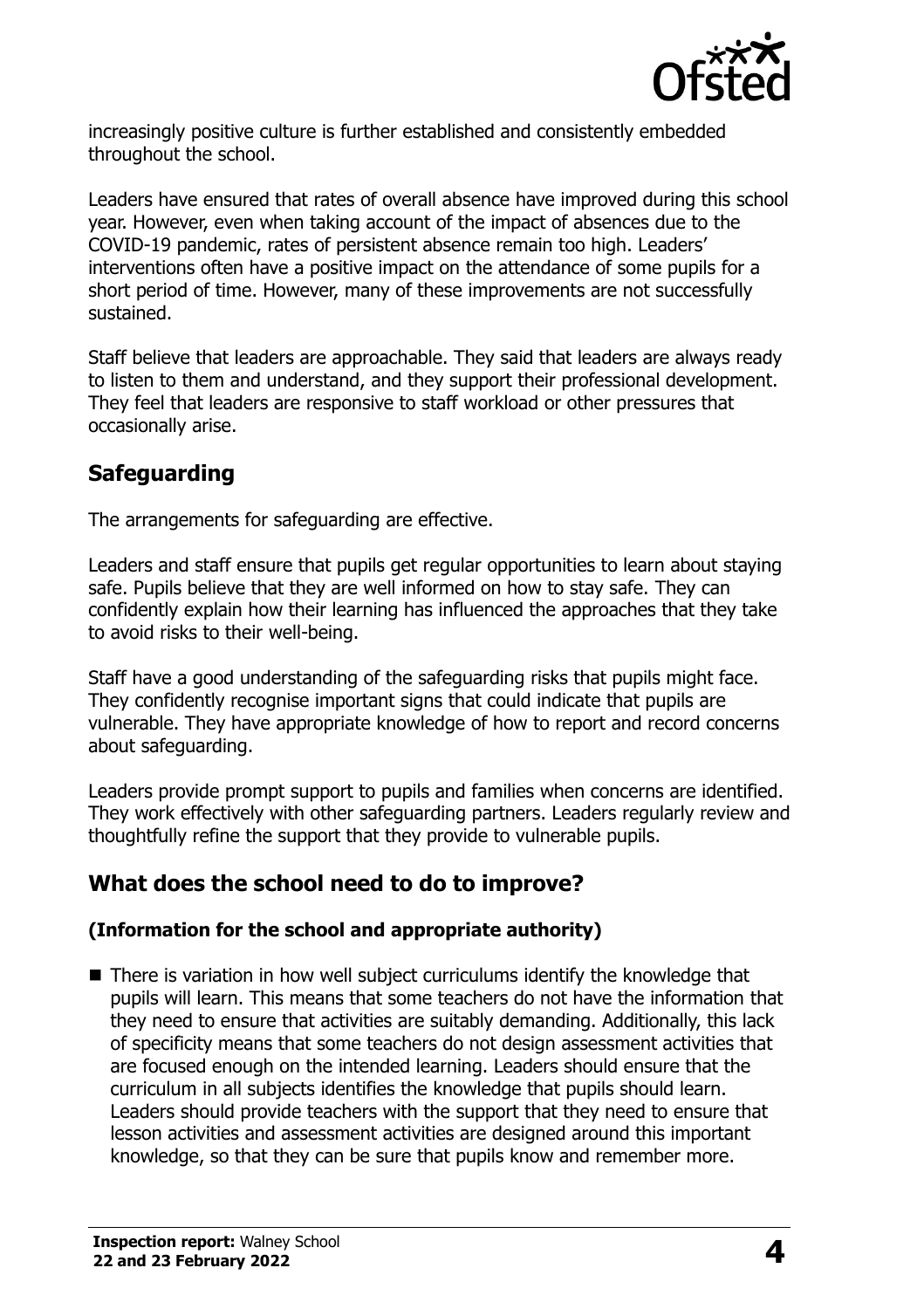

increasingly positive culture is further established and consistently embedded throughout the school.

Leaders have ensured that rates of overall absence have improved during this school year. However, even when taking account of the impact of absences due to the COVID-19 pandemic, rates of persistent absence remain too high. Leaders' interventions often have a positive impact on the attendance of some pupils for a short period of time. However, many of these improvements are not successfully sustained.

Staff believe that leaders are approachable. They said that leaders are always ready to listen to them and understand, and they support their professional development. They feel that leaders are responsive to staff workload or other pressures that occasionally arise.

# **Safeguarding**

The arrangements for safeguarding are effective.

Leaders and staff ensure that pupils get regular opportunities to learn about staying safe. Pupils believe that they are well informed on how to stay safe. They can confidently explain how their learning has influenced the approaches that they take to avoid risks to their well-being.

Staff have a good understanding of the safeguarding risks that pupils might face. They confidently recognise important signs that could indicate that pupils are vulnerable. They have appropriate knowledge of how to report and record concerns about safeguarding.

Leaders provide prompt support to pupils and families when concerns are identified. They work effectively with other safeguarding partners. Leaders regularly review and thoughtfully refine the support that they provide to vulnerable pupils.

# **What does the school need to do to improve?**

#### **(Information for the school and appropriate authority)**

■ There is variation in how well subject curriculums identify the knowledge that pupils will learn. This means that some teachers do not have the information that they need to ensure that activities are suitably demanding. Additionally, this lack of specificity means that some teachers do not design assessment activities that are focused enough on the intended learning. Leaders should ensure that the curriculum in all subjects identifies the knowledge that pupils should learn. Leaders should provide teachers with the support that they need to ensure that lesson activities and assessment activities are designed around this important knowledge, so that they can be sure that pupils know and remember more.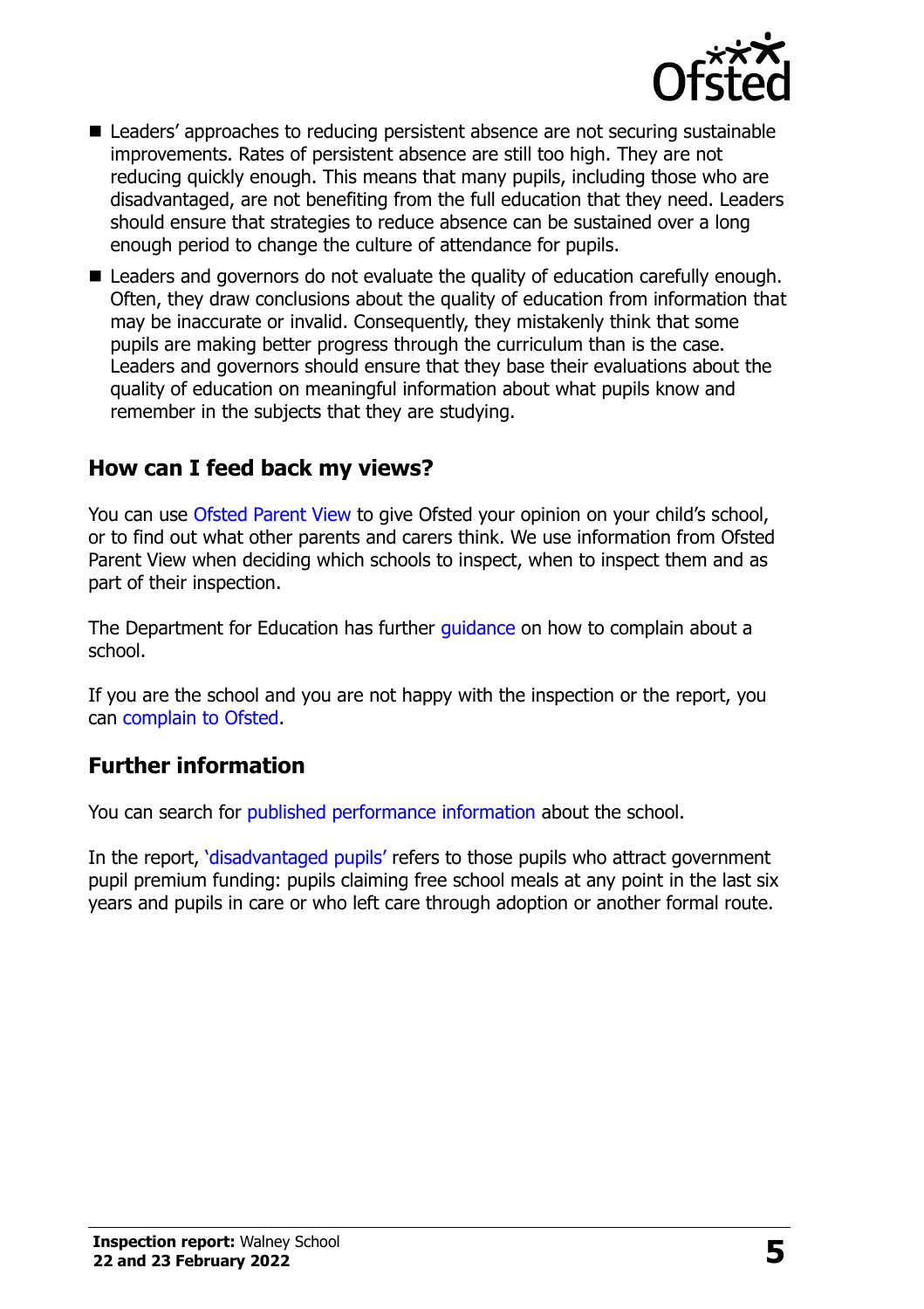

- Leaders' approaches to reducing persistent absence are not securing sustainable improvements. Rates of persistent absence are still too high. They are not reducing quickly enough. This means that many pupils, including those who are disadvantaged, are not benefiting from the full education that they need. Leaders should ensure that strategies to reduce absence can be sustained over a long enough period to change the culture of attendance for pupils.
- Leaders and governors do not evaluate the quality of education carefully enough. Often, they draw conclusions about the quality of education from information that may be inaccurate or invalid. Consequently, they mistakenly think that some pupils are making better progress through the curriculum than is the case. Leaders and governors should ensure that they base their evaluations about the quality of education on meaningful information about what pupils know and remember in the subjects that they are studying.

## **How can I feed back my views?**

You can use [Ofsted Parent View](http://parentview.ofsted.gov.uk/) to give Ofsted your opinion on your child's school, or to find out what other parents and carers think. We use information from Ofsted Parent View when deciding which schools to inspect, when to inspect them and as part of their inspection.

The Department for Education has further quidance on how to complain about a school.

If you are the school and you are not happy with the inspection or the report, you can [complain to Ofsted.](http://www.gov.uk/complain-ofsted-report)

### **Further information**

You can search for [published performance information](http://www.compare-school-performance.service.gov.uk/) about the school.

In the report, '[disadvantaged pupils](http://www.gov.uk/guidance/pupil-premium-information-for-schools-and-alternative-provision-settings)' refers to those pupils who attract government pupil premium funding: pupils claiming free school meals at any point in the last six years and pupils in care or who left care through adoption or another formal route.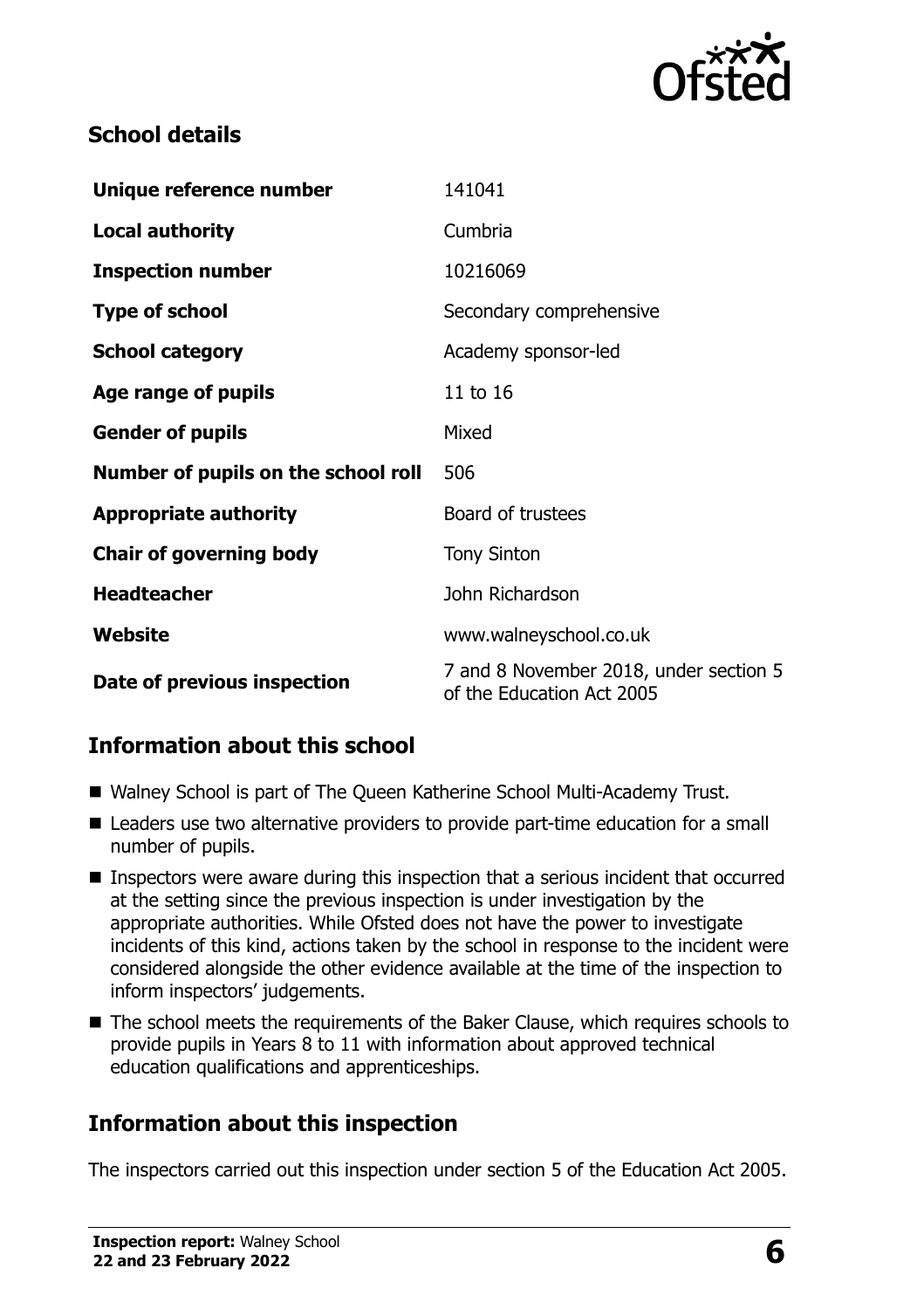

## **School details**

| Unique reference number             | 141041                                                              |  |
|-------------------------------------|---------------------------------------------------------------------|--|
| <b>Local authority</b>              | Cumbria                                                             |  |
| <b>Inspection number</b>            | 10216069                                                            |  |
| <b>Type of school</b>               | Secondary comprehensive                                             |  |
| <b>School category</b>              | Academy sponsor-led                                                 |  |
| Age range of pupils                 | 11 to 16                                                            |  |
| <b>Gender of pupils</b>             | Mixed                                                               |  |
| Number of pupils on the school roll | 506                                                                 |  |
| <b>Appropriate authority</b>        | Board of trustees                                                   |  |
| <b>Chair of governing body</b>      | <b>Tony Sinton</b>                                                  |  |
| <b>Headteacher</b>                  | John Richardson                                                     |  |
| Website                             | www.walneyschool.co.uk                                              |  |
| Date of previous inspection         | 7 and 8 November 2018, under section 5<br>of the Education Act 2005 |  |

# **Information about this school**

- Walney School is part of The Queen Katherine School Multi-Academy Trust.
- Leaders use two alternative providers to provide part-time education for a small number of pupils.
- Inspectors were aware during this inspection that a serious incident that occurred at the setting since the previous inspection is under investigation by the appropriate authorities. While Ofsted does not have the power to investigate incidents of this kind, actions taken by the school in response to the incident were considered alongside the other evidence available at the time of the inspection to inform inspectors' judgements.
- The school meets the requirements of the Baker Clause, which requires schools to provide pupils in Years 8 to 11 with information about approved technical education qualifications and apprenticeships.

# **Information about this inspection**

The inspectors carried out this inspection under section 5 of the Education Act 2005.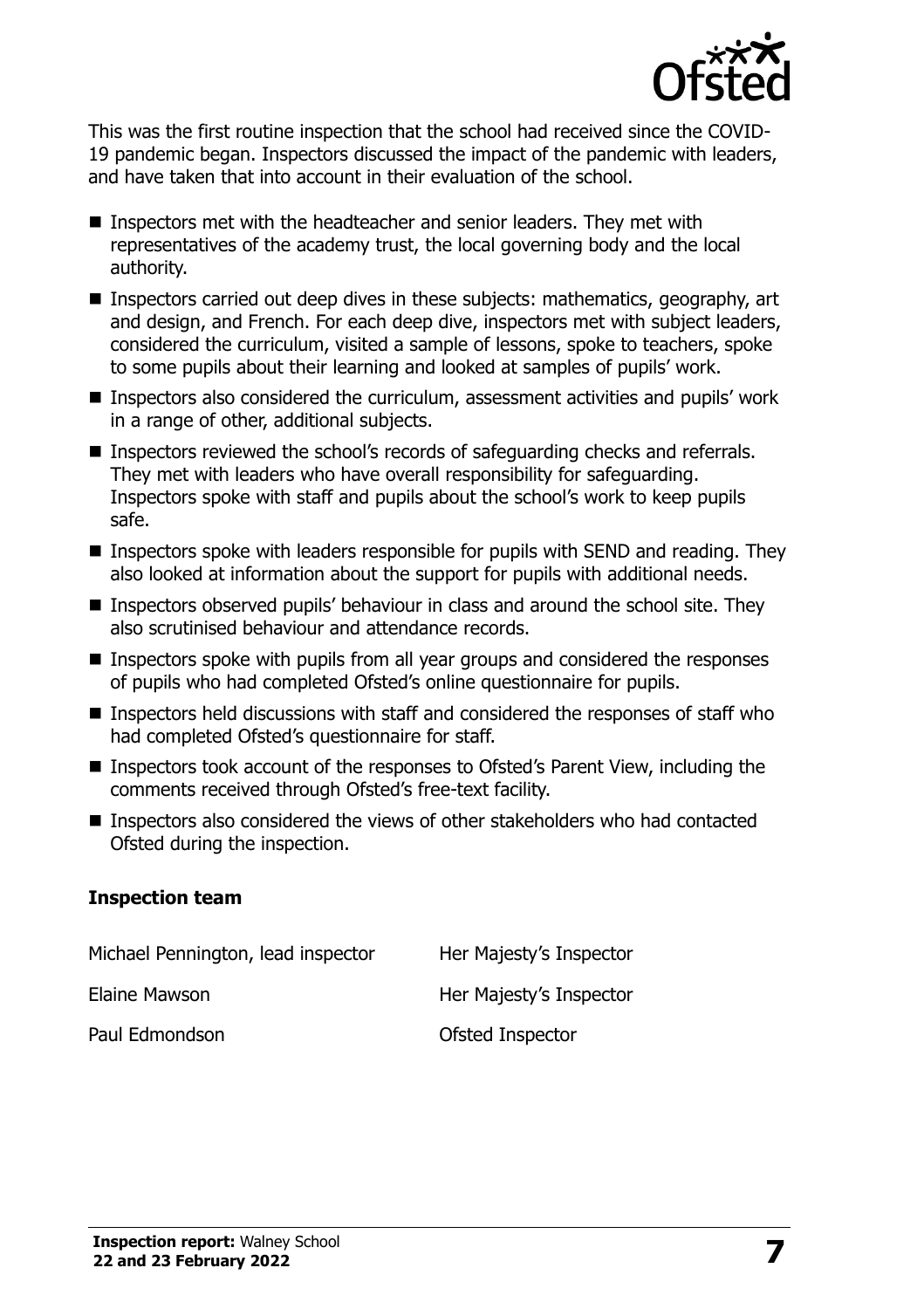

This was the first routine inspection that the school had received since the COVID-19 pandemic began. Inspectors discussed the impact of the pandemic with leaders, and have taken that into account in their evaluation of the school.

- Inspectors met with the headteacher and senior leaders. They met with representatives of the academy trust, the local governing body and the local authority.
- Inspectors carried out deep dives in these subjects: mathematics, geography, art and design, and French. For each deep dive, inspectors met with subject leaders, considered the curriculum, visited a sample of lessons, spoke to teachers, spoke to some pupils about their learning and looked at samples of pupils' work.
- Inspectors also considered the curriculum, assessment activities and pupils' work in a range of other, additional subjects.
- Inspectors reviewed the school's records of safeguarding checks and referrals. They met with leaders who have overall responsibility for safeguarding. Inspectors spoke with staff and pupils about the school's work to keep pupils safe.
- **Inspectors spoke with leaders responsible for pupils with SEND and reading. They** also looked at information about the support for pupils with additional needs.
- Inspectors observed pupils' behaviour in class and around the school site. They also scrutinised behaviour and attendance records.
- $\blacksquare$  Inspectors spoke with pupils from all year groups and considered the responses of pupils who had completed Ofsted's online questionnaire for pupils.
- $\blacksquare$  Inspectors held discussions with staff and considered the responses of staff who had completed Ofsted's questionnaire for staff.
- Inspectors took account of the responses to Ofsted's Parent View, including the comments received through Ofsted's free-text facility.
- Inspectors also considered the views of other stakeholders who had contacted Ofsted during the inspection.

#### **Inspection team**

| Michael Pennington, lead inspector | Her Majesty's Inspector |
|------------------------------------|-------------------------|
| Elaine Mawson                      | Her Majesty's Inspector |
| Paul Edmondson                     | Ofsted Inspector        |